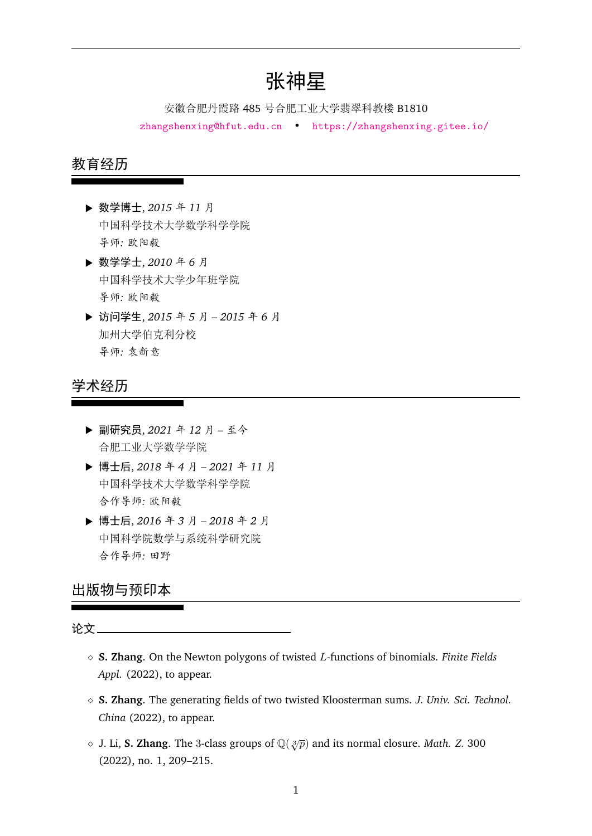# 张神星

安徽合肥丹霞路 485 号合肥工业大学翡翠科教楼 B1810 zhangshenxing@hfut.edu.cn • https://zhangshenxing.gitee.io/

## 教育经历

- **▶** 数学博士, 2015 年 11 月 中国科学技术大学数学科学学院 导师*:* 欧阳毅
- **▶ 数学学士, 2010年6月** 中国科学技术大学少年班学院 导师*:* 欧阳毅
- § 访问学生, *<sup>2015</sup>* <sup>年</sup> *<sup>5</sup>* <sup>月</sup>  *2015* <sup>年</sup> *<sup>6</sup>* <sup>月</sup> 加州大学伯克利分校 导师*:* 袁新意

## 学术经历

- **▶** 副研究员, 2021 年 12 月 至今 合肥工业大学数学学院
- § 博士后, *<sup>2018</sup>* <sup>年</sup> *<sup>4</sup>* <sup>月</sup>  *2021* <sup>年</sup> *<sup>11</sup>* <sup>月</sup> 中国科学技术大学数学科学学院 合作导师*:* 欧阳毅
- § 博士后, *<sup>2016</sup>* <sup>年</sup> *<sup>3</sup>* <sup>月</sup>  *2018* <sup>年</sup> *<sup>2</sup>* <sup>月</sup> 中国科学院数学与系统科学研究院 合作导师*:* 田野

## 出版物与预印本

### 论文

- ˛ **S. Zhang**. On the Newton polygons of twisted *L*-functions of binomials. *Finite Fields Appl.* (2022), to appear.
- ˛ **S. Zhang**. The generating fields of two twisted Kloosterman sums. *J. Univ. Sci. Technol. China* (2022), to appear.
- $\diamond$  J. Li, **S. Zhang**. The 3-class groups of  $\mathbb{Q}(\sqrt[3]{p})$  and its normal closure. *Math. Z.* 300 (2022), no. 1, 209–215.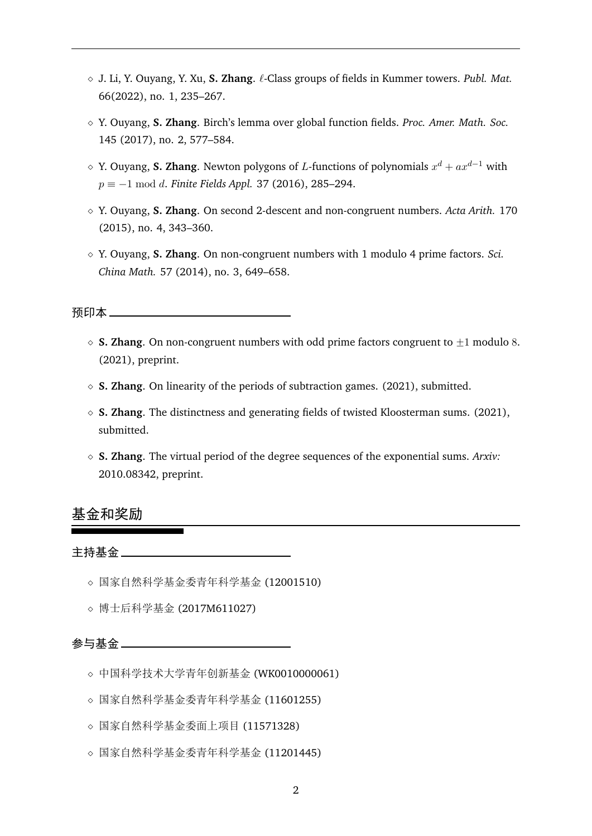- ˛ J. Li, Y. Ouyang, Y. Xu, **S. Zhang**. *ℓ*-Class groups of fields in Kummer towers. *Publ. Mat.* 66(2022), no. 1, 235–267.
- ˛ Y. Ouyang, **S. Zhang**. Birch's lemma over global function fields. *Proc. Amer. Math. Soc.* 145 (2017), no. 2, 577–584.
- $\diamond$  Y. Ouyang, **S. Zhang**. Newton polygons of *L*-functions of polynomials  $x^d + ax^{d-1}$  with  $p \equiv -1 \mod d$ . *Finite Fields Appl.* 37 (2016), 285–294.
- ˛ Y. Ouyang, **S. Zhang**. On second 2-descent and non-congruent numbers. *Acta Arith.* 170 (2015), no. 4, 343–360.
- ˛ Y. Ouyang, **S. Zhang**. On non-congruent numbers with 1 modulo 4 prime factors. *Sci. China Math.* 57 (2014), no. 3, 649–658.

## 预印本

- $\Diamond$  **S. Zhang**. On non-congruent numbers with odd prime factors congruent to  $+1$  modulo 8. (2021), preprint.
- ˛ **S. Zhang**. On linearity of the periods of subtraction games. (2021), submitted.
- $\Diamond$  **S. Zhang**. The distinctness and generating fields of twisted Kloosterman sums. (2021), submitted.
- ˛ **S. Zhang**. The virtual period of the degree sequences of the exponential sums. *Arxiv:* 2010.08342, preprint.

## 基金和奖励

主持基金 \_\_\_\_\_\_\_\_\_\_\_\_\_\_

- ˛ 国家自然科学基金委青年科学基金 (12001510)
- ˛ 博士后科学基金 (2017M611027)

参与基金 \_\_\_\_\_\_\_\_\_\_\_

- ˛ 中国科学技术大学青年创新基金 (WK0010000061)
- ˛ 国家自然科学基金委青年科学基金 (11601255)
- ◇ 国家自然科学基金委面上项目 (11571328)
- ◇ 国家自然科学基金委青年科学基金 (11201445)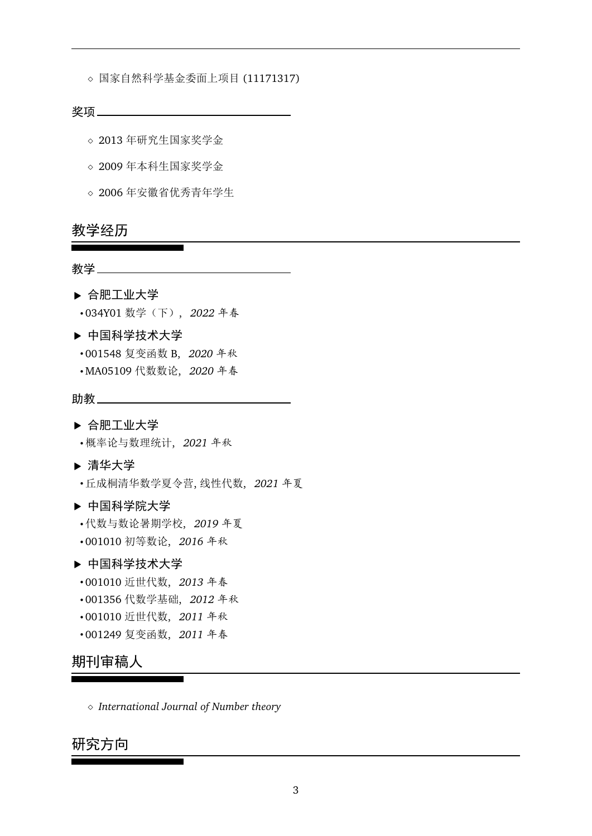◇ 国家自然科学基金委面上项目 (11171317)

#### 奖项

- ˛ 2013 年研究生国家奖学金
- ◇ 2009 年本科生国家奖学金
- ˛ 2006 年安徽省优秀青年学生

## 教学经历

## 教学

- § 合肥工业大学 ' 034Y01 数学(下), *2022* 年春
- § 中国科学技术大学

- ' 001548 复变函数 B, *2020* 年秋
- ' MA05109 代数数论, *2020* 年春

## 助教 \_\_\_\_ \_\_\_\_

### § 合肥工业大学

'概率论与数理统计, *2021* 年秋

### § 清华大学

'丘成桐清华数学夏令营, 线性代数, *2021* 年夏

### § 中国科学院大学

- '代数与数论暑期学校, *2019* 年夏
- ' 001010 初等数论, *2016* 年秋

### § 中国科学技术大学

- ' 001010 近世代数, *2013* 年春
- ' 001356 代数学基础, *2012* 年秋
- ' 001010 近世代数, *2011* 年秋
- ' 001249 复变函数, *2011* 年春

## 期刊审稿人

˛ *International Journal of Number theory*

 $\overline{\phantom{0}}$ 

## 研究方向